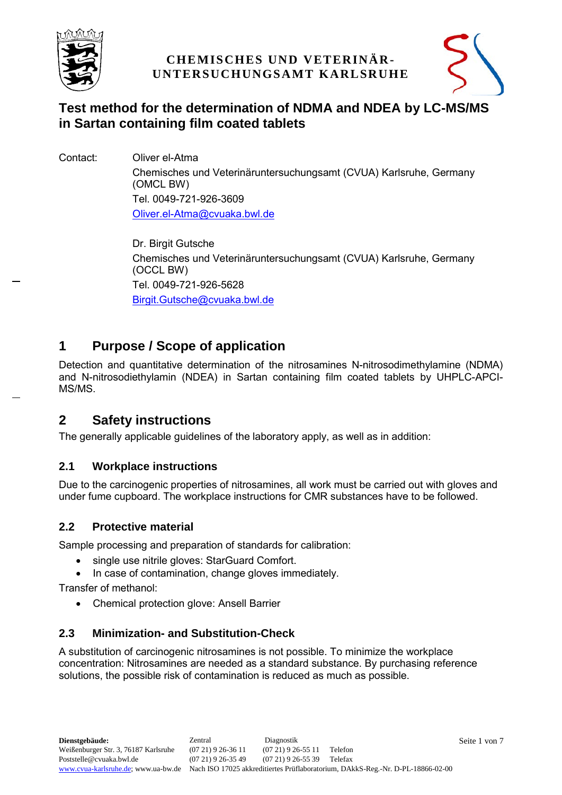



# **Test method for the determination of NDMA and NDEA by LC-MS/MS in Sartan containing film coated tablets**

Contact: Oliver el-Atma

Chemisches und Veterinäruntersuchungsamt (CVUA) Karlsruhe, Germany (OMCL BW) Tel. 0049-721-926-3609 [Oliver.el-Atma@cvuaka.bwl.de](mailto:Oliver.el-Atma@cvuaka.bwl.de)

Dr. Birgit Gutsche Chemisches und Veterinäruntersuchungsamt (CVUA) Karlsruhe, Germany (OCCL BW) Tel. 0049-721-926-5628 [Birgit.Gutsche@cvuaka.bwl.de](mailto:Birgit.Gutsche@cvuaka.bwl.de)

# **1 Purpose / Scope of application**

Detection and quantitative determination of the nitrosamines N-nitrosodimethylamine (NDMA) and N-nitrosodiethylamin (NDEA) in Sartan containing film coated tablets by UHPLC-APCI-MS/MS.

## **2 Safety instructions**

The generally applicable guidelines of the laboratory apply, as well as in addition:

## **2.1 Workplace instructions**

Due to the carcinogenic properties of nitrosamines, all work must be carried out with gloves and under fume cupboard. The workplace instructions for CMR substances have to be followed.

## **2.2 Protective material**

Sample processing and preparation of standards for calibration:

- single use nitrile gloves: StarGuard Comfort.
- In case of contamination, change gloves immediately.

Transfer of methanol:

Chemical protection glove: Ansell Barrier

## **2.3 Minimization- and Substitution-Check**

A substitution of carcinogenic nitrosamines is not possible. To minimize the workplace concentration: Nitrosamines are needed as a standard substance. By purchasing reference solutions, the possible risk of contamination is reduced as much as possible.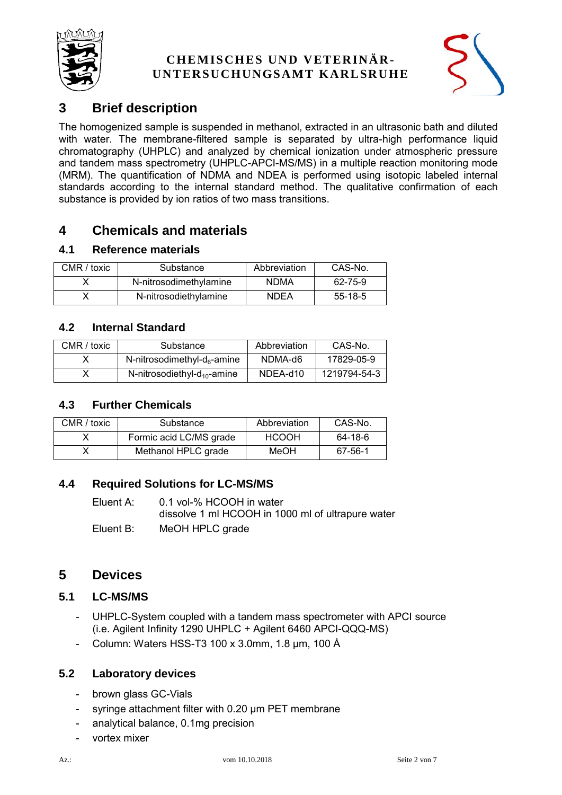



# **3 Brief description**

The homogenized sample is suspended in methanol, extracted in an ultrasonic bath and diluted with water. The membrane-filtered sample is separated by ultra-high performance liquid chromatography (UHPLC) and analyzed by chemical ionization under atmospheric pressure and tandem mass spectrometry (UHPLC-APCI-MS/MS) in a multiple reaction monitoring mode (MRM). The quantification of NDMA and NDEA is performed using isotopic labeled internal standards according to the internal standard method. The qualitative confirmation of each substance is provided by ion ratios of two mass transitions.

# **4 Chemicals and materials**

### **4.1 Reference materials**

| CMR / toxic | Substance              | Abbreviation | CAS-No.   |
|-------------|------------------------|--------------|-----------|
|             | N-nitrosodimethylamine | <b>NDMA</b>  | 62-75-9   |
|             | N-nitrosodiethylamine  | <b>NDEA</b>  | $55-18-5$ |

## **4.2 Internal Standard**

| CMR / toxic | Substance                               | Abbreviation | CAS-No.      |
|-------------|-----------------------------------------|--------------|--------------|
|             | N-nitrosodimethyl-d <sub>6</sub> -amine | NDMA-d6      | 17829-05-9   |
|             | N-nitrosodiethyl- $d_{10}$ -amine       | NDEA-d10     | 1219794-54-3 |

#### **4.3 Further Chemicals**

| CMR / toxic | Substance               | Abbreviation | CAS-No. |
|-------------|-------------------------|--------------|---------|
|             | Formic acid LC/MS grade | <b>HCOOH</b> | 64-18-6 |
|             | Methanol HPLC grade     | MeOH         | 67-56-1 |

## **4.4 Required Solutions for LC-MS/MS**

Eluent A: 0.1 vol-% HCOOH in water dissolve 1 ml HCOOH in 1000 ml of ultrapure water Eluent B: MeOH HPLC grade

## **5 Devices**

#### **5.1 LC-MS/MS**

- UHPLC-System coupled with a tandem mass spectrometer with APCI source (i.e. Agilent Infinity 1290 UHPLC + Agilent 6460 APCI-QQQ-MS)
- Column: Waters HSS-T3 100 x 3.0mm, 1.8 µm, 100 Å

#### **5.2 Laboratory devices**

- brown glass GC-Vials
- syringe attachment filter with 0.20 µm PET membrane
- analytical balance, 0.1mg precision
- vortex mixer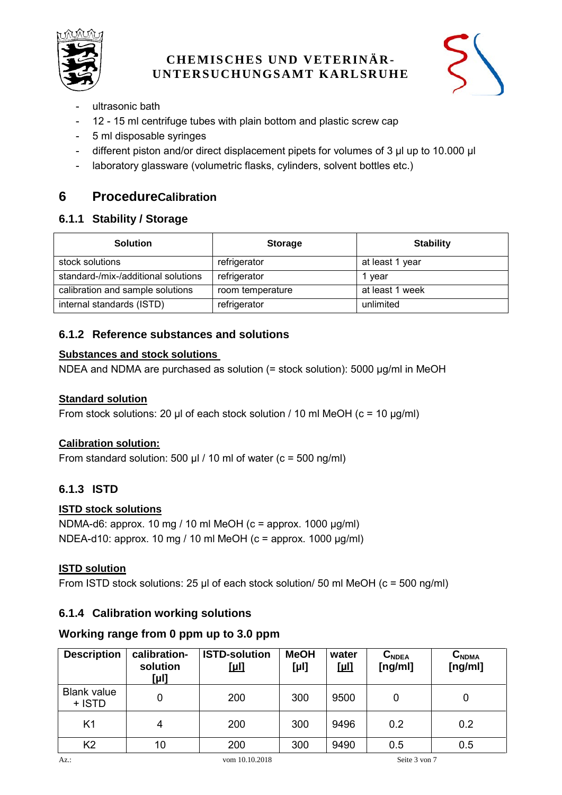



- ultrasonic bath
- 12 15 ml centrifuge tubes with plain bottom and plastic screw cap
- 5 ml disposable syringes
- different piston and/or direct displacement pipets for volumes of 3 µl up to 10.000 µl
- laboratory glassware (volumetric flasks, cylinders, solvent bottles etc.)

## **6 ProcedureCalibration**

### **6.1.1 Stability / Storage**

| <b>Solution</b>                     | <b>Storage</b>   | <b>Stability</b> |
|-------------------------------------|------------------|------------------|
| stock solutions                     | refrigerator     | at least 1 year  |
| standard-/mix-/additional solutions | refrigerator     | 1 vear           |
| calibration and sample solutions    | room temperature | at least 1 week  |
| internal standards (ISTD)           | refrigerator     | unlimited        |

## **6.1.2 Reference substances and solutions**

#### **Substances and stock solutions**

NDEA and NDMA are purchased as solution (= stock solution): 5000 µg/ml in MeOH

#### **Standard solution**

From stock solutions: 20  $\mu$  of each stock solution / 10 ml MeOH (c = 10  $\mu$ g/ml)

## **Calibration solution:**

From standard solution: 500  $\mu$ I / 10 ml of water (c = 500 ng/ml)

## **6.1.3 ISTD**

#### **ISTD stock solutions**

NDMA-d6: approx. 10 mg / 10 ml MeOH (c = approx. 1000 µg/ml) NDEA-d10: approx. 10 mg / 10 ml MeOH (c = approx. 1000  $\mu$ g/ml)

#### **ISTD solution**

From ISTD stock solutions: 25  $\mu$  of each stock solution/ 50 ml MeOH (c = 500 ng/ml)

## **6.1.4 Calibration working solutions**

## **Working range from 0 ppm up to 3.0 ppm**

| <b>Description</b>           | calibration-<br>solution<br>[µl] | <b>ISTD-solution</b><br><u>[µl]</u> | <b>MeOH</b><br>$[\mu!]$ | water<br><u>[µl]</u> | $C_{NDEA}$<br>[ng/ml] | $C_{NDMA}$<br>[ng/ml] |
|------------------------------|----------------------------------|-------------------------------------|-------------------------|----------------------|-----------------------|-----------------------|
| <b>Blank value</b><br>+ ISTD |                                  | 200                                 | 300                     | 9500                 | 0                     | 0                     |
| K <sub>1</sub>               | 4                                | 200                                 | 300                     | 9496                 | 0.2                   | 0.2                   |
| K <sub>2</sub>               | 10                               | 200                                 | 300                     | 9490                 | 0.5                   | 0.5                   |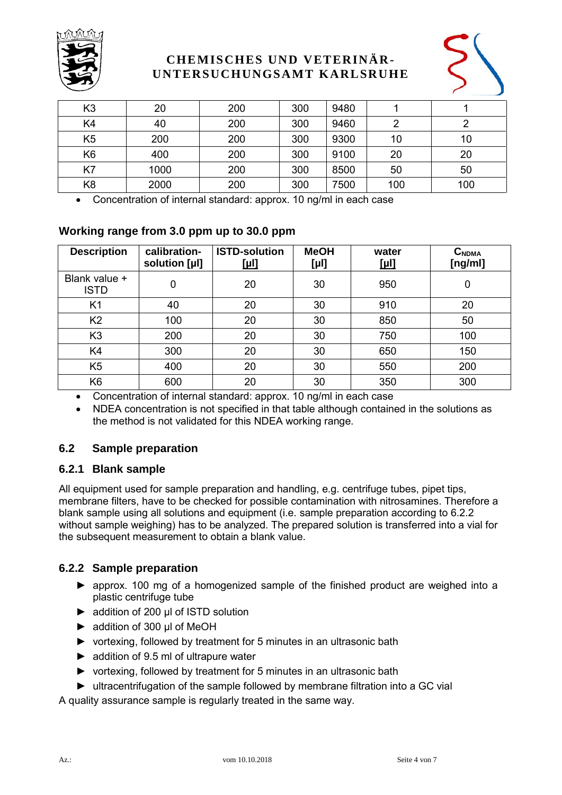



| K <sub>3</sub> | 20   | 200 | 300 | 9480 |     |     |
|----------------|------|-----|-----|------|-----|-----|
| K4             | 40   | 200 | 300 | 9460 |     |     |
| K <sub>5</sub> | 200  | 200 | 300 | 9300 | 10  | 10  |
| K <sub>6</sub> | 400  | 200 | 300 | 9100 | 20  | 20  |
| K7             | 1000 | 200 | 300 | 8500 | 50  | 50  |
| K <sub>8</sub> | 2000 | 200 | 300 | 7500 | 100 | 100 |

Concentration of internal standard: approx. 10 ng/ml in each case

### **Working range from 3.0 ppm up to 30.0 ppm**

| <b>Description</b>           | calibration-<br>solution [µl] | <b>ISTD-solution</b><br><u>[µl]</u> | <b>MeOH</b><br>[µ!] | water<br><u>[µl]</u> | $C_{NDMA}$<br>[ng/ml] |  |
|------------------------------|-------------------------------|-------------------------------------|---------------------|----------------------|-----------------------|--|
| Blank value +<br><b>ISTD</b> | 0                             | 20                                  | 30                  | 950                  | 0                     |  |
| K <sub>1</sub>               | 40                            | 20                                  | 30                  | 910                  | 20                    |  |
| K <sub>2</sub>               | 100                           | 20                                  | 30                  | 850                  | 50                    |  |
| K <sub>3</sub>               | 200                           | 20                                  | 30                  | 750                  | 100                   |  |
| K4                           | 300                           | 20                                  | 30                  | 650                  | 150                   |  |
| K <sub>5</sub>               | 400                           | 20                                  | 30                  | 550                  | 200                   |  |
| K <sub>6</sub>               | 600                           | 20                                  | 30                  | 350                  | 300                   |  |

Concentration of internal standard: approx. 10 ng/ml in each case

 NDEA concentration is not specified in that table although contained in the solutions as the method is not validated for this NDEA working range.

#### **6.2 Sample preparation**

#### **6.2.1 Blank sample**

All equipment used for sample preparation and handling, e.g. centrifuge tubes, pipet tips, membrane filters, have to be checked for possible contamination with nitrosamines. Therefore a blank sample using all solutions and equipment (i.e. sample preparation according to [6.2.2](#page-3-0) without sample weighing) has to be analyzed. The prepared solution is transferred into a vial for the subsequent measurement to obtain a blank value.

#### <span id="page-3-0"></span>**6.2.2 Sample preparation**

- ► approx. 100 mg of a homogenized sample of the finished product are weighed into a plastic centrifuge tube
- ► addition of 200 µl of ISTD solution
- ► addition of 300 µl of MeOH
- ► vortexing, followed by treatment for 5 minutes in an ultrasonic bath
- ► addition of 9.5 ml of ultrapure water
- ► vortexing, followed by treatment for 5 minutes in an ultrasonic bath
- ► ultracentrifugation of the sample followed by membrane filtration into a GC vial

A quality assurance sample is regularly treated in the same way.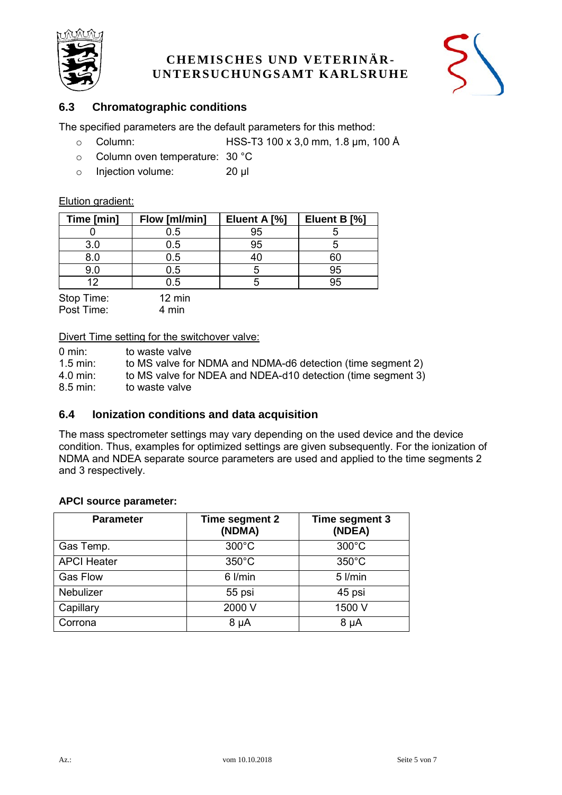



### **6.3 Chromatographic conditions**

The specified parameters are the default parameters for this method:

- o Column: HSS-T3 100 x 3,0 mm, 1.8 µm, 100 Å
- o Column oven temperature: 30 °C
- o Injection volume: 20 µl

#### Elution gradient:

| Time [min] | Flow [ml/min]    | Eluent A [%] | Eluent B [%] |
|------------|------------------|--------------|--------------|
|            | 0.5              | 95           |              |
| 3.0        | 0.5              | 95           |              |
| 8.0        | 0.5              | 40           | 60           |
| 9.0        | 0.5              | 5            | 95           |
| 12         | 0.5              |              | 95           |
| Stop Time: | $12 \text{ min}$ |              |              |

Post Time: 4 min

Divert Time setting for the switchover valve:

| $0 \text{ min}$ :      | to waste valve                                               |
|------------------------|--------------------------------------------------------------|
| $1.5$ min:             | to MS valve for NDMA and NDMA-d6 detection (time segment 2)  |
| $4.0$ min:             | to MS valve for NDEA and NDEA-d10 detection (time segment 3) |
| $8.5 \,\mathrm{min}$ : | to waste valve                                               |

#### **6.4 Ionization conditions and data acquisition**

The mass spectrometer settings may vary depending on the used device and the device condition. Thus, examples for optimized settings are given subsequently. For the ionization of NDMA and NDEA separate source parameters are used and applied to the time segments 2 and 3 respectively.

#### **APCI source parameter:**

| <b>Parameter</b>   | Time segment 2<br>(NDMA) | Time segment 3<br>(NDEA) |
|--------------------|--------------------------|--------------------------|
| Gas Temp.          | $300^{\circ}$ C          | $300^{\circ}$ C          |
| <b>APCI Heater</b> | $350^{\circ}$ C          | $350^{\circ}$ C          |
| <b>Gas Flow</b>    | 6 l/min                  | 5 l/min                  |
| Nebulizer          | 55 psi                   | 45 psi                   |
| Capillary          | 2000 V                   | 1500 V                   |
| Corrona            | $8 \mu A$                | $8 \mu A$                |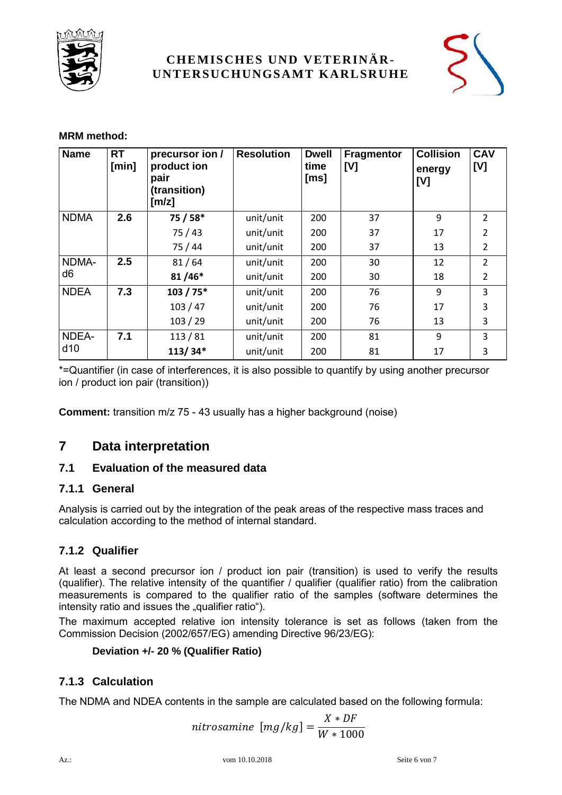



### **MRM method:**

| <b>Name</b> | <b>RT</b><br>[min] | precursor ion /<br>product ion<br>pair<br>(transition)<br>[m/z] | <b>Resolution</b> | <b>Dwell</b><br>time<br>[ms] | <b>Fragmentor</b><br>[V] | <b>Collision</b><br>energy<br>[V] | CAV<br>[V]     |
|-------------|--------------------|-----------------------------------------------------------------|-------------------|------------------------------|--------------------------|-----------------------------------|----------------|
| <b>NDMA</b> | 2.6                | 75 / 58*                                                        | unit/unit         | 200                          | 37                       | 9                                 | $\overline{2}$ |
|             |                    | 75/43                                                           | unit/unit         | 200                          | 37                       | 17                                | $\overline{2}$ |
|             |                    | 75/44                                                           | unit/unit         | 200                          | 37                       | 13                                | $\overline{2}$ |
| NDMA-       | 2.5                | 81/64                                                           | unit/unit         | 200                          | 30                       | 12                                | $\overline{2}$ |
| d6          |                    | $81/46*$                                                        | unit/unit         | 200                          | 30                       | 18                                | 2              |
| <b>NDEA</b> | 7.3                | $103 / 75*$                                                     | unit/unit         | 200                          | 76                       | 9                                 | 3              |
|             |                    | 103/47                                                          | unit/unit         | 200                          | 76                       | 17                                | 3              |
|             |                    | 103 / 29                                                        | unit/unit         | 200                          | 76                       | 13                                | 3              |
| NDEA-       | 7.1                | 113/81                                                          | unit/unit         | 200                          | 81                       | 9                                 | 3              |
| d10         |                    | $113/34*$                                                       | unit/unit         | 200                          | 81                       | 17                                | 3              |

\*=Quantifier (in case of interferences, it is also possible to quantify by using another precursor ion / product ion pair (transition))

**Comment:** transition m/z 75 - 43 usually has a higher background (noise)

## **7 Data interpretation**

#### **7.1 Evaluation of the measured data**

#### **7.1.1 General**

Analysis is carried out by the integration of the peak areas of the respective mass traces and calculation according to the method of internal standard.

## **7.1.2 Qualifier**

At least a second precursor ion / product ion pair (transition) is used to verify the results (qualifier). The relative intensity of the quantifier / qualifier (qualifier ratio) from the calibration measurements is compared to the qualifier ratio of the samples (software determines the intensity ratio and issues the "qualifier ratio").

The maximum accepted relative ion intensity tolerance is set as follows (taken from the Commission Decision (2002/657/EG) amending Directive 96/23/EG):

#### **Deviation +/- 20 % (Qualifier Ratio)**

## **7.1.3 Calculation**

The NDMA and NDEA contents in the sample are calculated based on the following formula:

nitrosamine 
$$
[mg/kg] = \frac{X * DF}{W * 1000}
$$